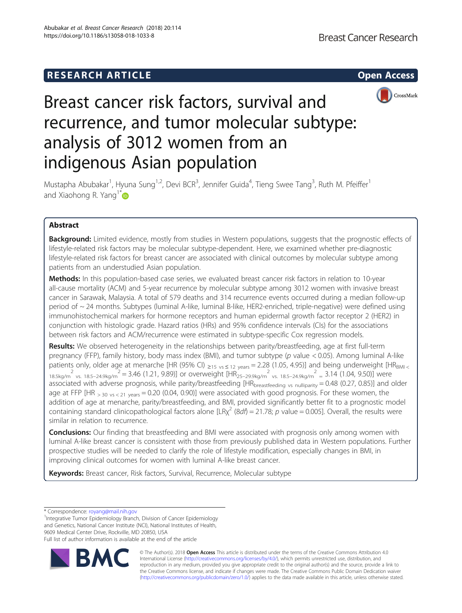

# Breast cancer risk factors, survival and recurrence, and tumor molecular subtype: analysis of 3012 women from an indigenous Asian population

Mustapha Abubakar<sup>1</sup>, Hyuna Sung<sup>1,2</sup>, Devi BCR<sup>3</sup>, Jennifer Guida<sup>4</sup>, Tieng Swee Tang<sup>3</sup>, Ruth M. Pfeiffer<sup>1</sup> and Xiaohong R. Yang<sup>1[\\*](http://orcid.org/0000-0003-4451-8664)</sup>

# Abstract

**Background:** Limited evidence, mostly from studies in Western populations, suggests that the prognostic effects of lifestyle-related risk factors may be molecular subtype-dependent. Here, we examined whether pre-diagnostic lifestyle-related risk factors for breast cancer are associated with clinical outcomes by molecular subtype among patients from an understudied Asian population.

Methods: In this population-based case series, we evaluated breast cancer risk factors in relation to 10-year all-cause mortality (ACM) and 5-year recurrence by molecular subtype among 3012 women with invasive breast cancer in Sarawak, Malaysia. A total of 579 deaths and 314 recurrence events occurred during a median follow-up period of ~ 24 months. Subtypes (luminal A-like, luminal B-like, HER2-enriched, triple-negative) were defined using immunohistochemical markers for hormone receptors and human epidermal growth factor receptor 2 (HER2) in conjunction with histologic grade. Hazard ratios (HRs) and 95% confidence intervals (CIs) for the associations between risk factors and ACM/recurrence were estimated in subtype-specific Cox regression models.

Results: We observed heterogeneity in the relationships between parity/breastfeeding, age at first full-term pregnancy (FFP), family history, body mass index (BMI), and tumor subtype (p value < 0.05). Among luminal A-like patients only, older age at menarche [HR (95% CI)  $_{\geq 15}$  vs  $\leq$  12 years = 2.28 (1.05, 4.95)] and being underweight [HR<sub>BMI <</sub>  $^{2}$   $^{2}$   $^{2}$   $^{2}$   $^{2}$   $^{2}$  = 3.46 (1.21, 9.89)] or overweight [HR<sub>25–29.9kg/m</sub><sup>2</sup> <sub>vs. 18.5–24.9kg/m<sup>2</sup> = 3.14 (1.04, 9.50)] were</sub> associated with adverse prognosis, while parity/breastfeeding [HR<sub>breastfeeding vs nulliparity</sub> = 0.48 (0.27, 0.85)] and older age at FFP [HR  $_{> 30 \text{ vs } < 21 \text{ years}} = 0.20$  (0.04, 0.90)] were associated with good prognosis. For these women, the addition of age at menarche, parity/breastfeeding, and BMI, provided significantly better fit to a prognostic model containing standard clinicopathological factors alone [LR $\chi^2$  (8df) = 21.78; p value = 0.005]. Overall, the results were similar in relation to recurrence.

**Conclusions:** Our finding that breastfeeding and BMI were associated with prognosis only among women with luminal A-like breast cancer is consistent with those from previously published data in Western populations. Further prospective studies will be needed to clarify the role of lifestyle modification, especially changes in BMI, in improving clinical outcomes for women with luminal A-like breast cancer.

Keywords: Breast cancer, Risk factors, Survival, Recurrence, Molecular subtype

\* Correspondence: [royang@mail.nih.gov](mailto:royang@mail.nih.gov) <sup>1</sup>

<sup>1</sup>Integrative Tumor Epidemiology Branch, Division of Cancer Epidemiology and Genetics, National Cancer Institute (NCI), National Institutes of Health, 9609 Medical Center Drive, Rockville, MD 20850, USA Full list of author information is available at the end of the article



© The Author(s). 2018 Open Access This article is distributed under the terms of the Creative Commons Attribution 4.0 International License [\(http://creativecommons.org/licenses/by/4.0/](http://creativecommons.org/licenses/by/4.0/)), which permits unrestricted use, distribution, and reproduction in any medium, provided you give appropriate credit to the original author(s) and the source, provide a link to the Creative Commons license, and indicate if changes were made. The Creative Commons Public Domain Dedication waiver [\(http://creativecommons.org/publicdomain/zero/1.0/](http://creativecommons.org/publicdomain/zero/1.0/)) applies to the data made available in this article, unless otherwise stated.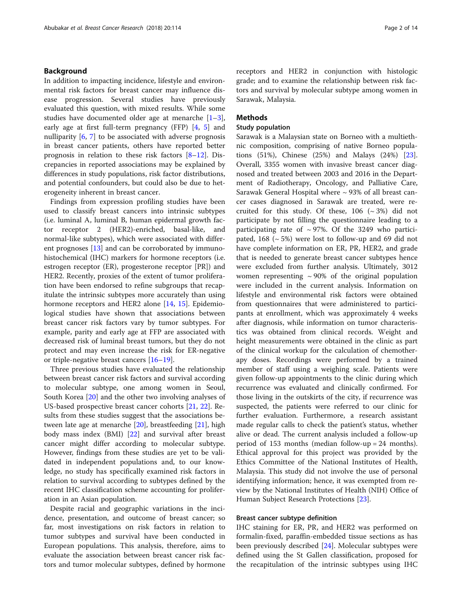# Background

In addition to impacting incidence, lifestyle and environmental risk factors for breast cancer may influence disease progression. Several studies have previously evaluated this question, with mixed results. While some studies have documented older age at menarche [\[1](#page-12-0)–[3](#page-12-0)], early age at first full-term pregnancy (FFP) [[4,](#page-12-0) [5](#page-12-0)] and nulliparity [\[6,](#page-12-0) [7](#page-12-0)] to be associated with adverse prognosis in breast cancer patients, others have reported better prognosis in relation to these risk factors [[8](#page-12-0)–[12](#page-12-0)]. Discrepancies in reported associations may be explained by differences in study populations, risk factor distributions, and potential confounders, but could also be due to heterogeneity inherent in breast cancer.

Findings from expression profiling studies have been used to classify breast cancers into intrinsic subtypes (i.e. luminal A, luminal B, human epidermal growth factor receptor 2 (HER2)-enriched, basal-like, and normal-like subtypes), which were associated with different prognoses [[13\]](#page-12-0) and can be corroborated by immunohistochemical (IHC) markers for hormone receptors (i.e. estrogen receptor (ER), progesterone receptor [PR]) and HER2. Recently, proxies of the extent of tumor proliferation have been endorsed to refine subgroups that recapitulate the intrinsic subtypes more accurately than using hormone receptors and HER2 alone [[14,](#page-12-0) [15](#page-12-0)]. Epidemiological studies have shown that associations between breast cancer risk factors vary by tumor subtypes. For example, parity and early age at FFP are associated with decreased risk of luminal breast tumors, but they do not protect and may even increase the risk for ER-negative or triple-negative breast cancers [\[16](#page-12-0)–[19\]](#page-12-0).

Three previous studies have evaluated the relationship between breast cancer risk factors and survival according to molecular subtype, one among women in Seoul, South Korea [[20\]](#page-12-0) and the other two involving analyses of US-based prospective breast cancer cohorts [\[21,](#page-12-0) [22](#page-12-0)]. Results from these studies suggest that the associations between late age at menarche [[20](#page-12-0)], breastfeeding [\[21](#page-12-0)], high body mass index (BMI) [\[22](#page-12-0)] and survival after breast cancer might differ according to molecular subtype. However, findings from these studies are yet to be validated in independent populations and, to our knowledge, no study has specifically examined risk factors in relation to survival according to subtypes defined by the recent IHC classification scheme accounting for proliferation in an Asian population.

Despite racial and geographic variations in the incidence, presentation, and outcome of breast cancer; so far, most investigations on risk factors in relation to tumor subtypes and survival have been conducted in European populations. This analysis, therefore, aims to evaluate the association between breast cancer risk factors and tumor molecular subtypes, defined by hormone receptors and HER2 in conjunction with histologic grade; and to examine the relationship between risk factors and survival by molecular subtype among women in Sarawak, Malaysia.

# Methods

# Study population

Sarawak is a Malaysian state on Borneo with a multiethnic composition, comprising of native Borneo populations (51%), Chinese (25%) and Malays (24%) [\[23](#page-12-0)]. Overall, 3355 women with invasive breast cancer diagnosed and treated between 2003 and 2016 in the Department of Radiotherapy, Oncology, and Palliative Care, Sarawak General Hospital where  $\sim$  93% of all breast cancer cases diagnosed in Sarawak are treated, were recruited for this study. Of these,  $106 \approx 3\%$  did not participate by not filling the questionnaire leading to a participating rate of  $\sim$  97%. Of the 3249 who participated,  $168$  ( $\sim$  5%) were lost to follow-up and 69 did not have complete information on ER, PR, HER2, and grade that is needed to generate breast cancer subtypes hence were excluded from further analysis. Ultimately, 3012 women representing  $\sim$  90% of the original population were included in the current analysis. Information on lifestyle and environmental risk factors were obtained from questionnaires that were administered to participants at enrollment, which was approximately 4 weeks after diagnosis, while information on tumor characteristics was obtained from clinical records. Weight and height measurements were obtained in the clinic as part of the clinical workup for the calculation of chemotherapy doses. Recordings were performed by a trained member of staff using a weighing scale. Patients were given follow-up appointments to the clinic during which recurrence was evaluated and clinically confirmed. For those living in the outskirts of the city, if recurrence was suspected, the patients were referred to our clinic for further evaluation. Furthermore, a research assistant made regular calls to check the patient's status, whether alive or dead. The current analysis included a follow-up period of 153 months (median follow-up = 24 months). Ethical approval for this project was provided by the Ethics Committee of the National Institutes of Health, Malaysia. This study did not involve the use of personal identifying information; hence, it was exempted from review by the National Institutes of Health (NIH) Office of Human Subject Research Protections [\[23](#page-12-0)].

# Breast cancer subtype definition

IHC staining for ER, PR, and HER2 was performed on formalin-fixed, paraffin-embedded tissue sections as has been previously described [\[24](#page-12-0)]. Molecular subtypes were defined using the St Gallen classification, proposed for the recapitulation of the intrinsic subtypes using IHC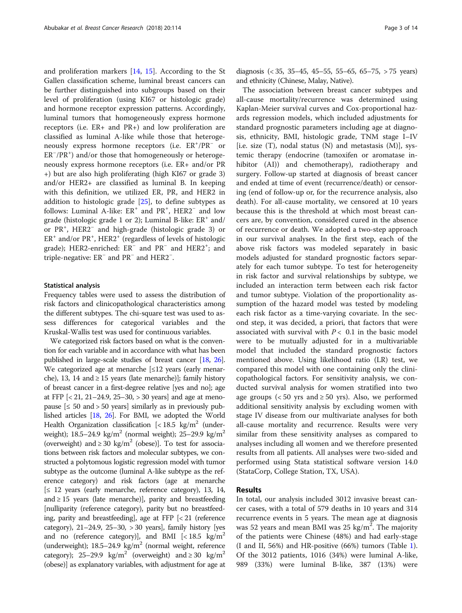and proliferation markers [\[14,](#page-12-0) [15](#page-12-0)]. According to the St Gallen classification scheme, luminal breast cancers can be further distinguished into subgroups based on their level of proliferation (using KI67 or histologic grade) and hormone receptor expression patterns. Accordingly, luminal tumors that homogeneously express hormone receptors (i.e. ER+ and PR+) and low proliferation are classified as luminal A-like while those that heterogeneously express hormone receptors (i.e.  $ER^+/PR^-$  or ER<sup>-</sup>/PR<sup>+</sup>) and/or those that homogeneously or heterogeneously express hormone receptors (i.e. ER+ and/or PR +) but are also high proliferating (high KI67 or grade 3) and/or HER2+ are classified as luminal B. In keeping with this definition, we utilized ER, PR, and HER2 in addition to histologic grade [\[25\]](#page-12-0), to define subtypes as follows: Luminal A-like: ER<sup>+</sup> and PR<sup>+</sup>, HER2<sup>-</sup> and low grade (histologic grade 1 or 2); Luminal B-like:  $ER^+$  and/ or PR<sup>+</sup> , HER2<sup>−</sup> and high-grade (histologic grade 3) or ER<sup>+</sup> and/or PR<sup>+</sup>, HER2<sup>+</sup> (regardless of levels of histologic grade); HER2-enriched: ER<sup>-</sup> and PR<sup>-</sup> and HER2<sup>+</sup>; and triple-negative: ER<sup>−</sup> and PR<sup>−</sup> and HER2<sup>−</sup> .

## Statistical analysis

Frequency tables were used to assess the distribution of risk factors and clinicopathological characteristics among the different subtypes. The chi-square test was used to assess differences for categorical variables and the Kruskal-Wallis test was used for continuous variables.

We categorized risk factors based on what is the convention for each variable and in accordance with what has been published in large-scale studies of breast cancer [\[18,](#page-12-0) [26](#page-12-0)]. We categorized age at menarche  $\leq 12$  years (early menarche), 13, 14 and  $\geq$  15 years (late menarche)]; family history of breast cancer in a first-degree relative [yes and no]; age at FFP [< 21, 21–24.9, 25–30, > 30 years] and age at menopause  $\leq 50$  and  $> 50$  years similarly as in previously published articles [\[18,](#page-12-0) [26\]](#page-12-0). For BMI, we adopted the World Health Organization classification  $\left[$  < 18.5 kg/m<sup>2</sup> (underweight); 18.5–24.9 kg/m<sup>2</sup> (normal weight); 25–29.9 kg/m<sup>2</sup> (overweight) and  $\geq$  30 kg/m<sup>2</sup> (obese)]. To test for associations between risk factors and molecular subtypes, we constructed a polytomous logistic regression model with tumor subtype as the outcome (luminal A-like subtype as the reference category) and risk factors (age at menarche [≤ 12 years (early menarche, reference category), 13, 14, and  $\geq$  15 years (late menarche)], parity and breastfeeding [nulliparity (reference category), parity but no breastfeeding, parity and breastfeeding], age at FFP [< 21 (reference category), 21–24.9, 25–30, > 30 years], family history [yes and no (reference category)], and BMI  $\left[ < 18.5 \text{ kg/m}^2 \right]$ (underweight);  $18.5-24.9$  kg/m<sup>2</sup> (normal weight, reference category); 25–29.9 kg/m<sup>2</sup> (overweight) and  $\geq$  30 kg/m<sup>2</sup> (obese)] as explanatory variables, with adjustment for age at

diagnosis (< 35, 35–45, 45–55, 55–65, 65–75, > 75 years) and ethnicity (Chinese, Malay, Native).

The association between breast cancer subtypes and all-cause mortality/recurrence was determined using Kaplan-Meier survival curves and Cox-proportional hazards regression models, which included adjustments for standard prognostic parameters including age at diagnosis, ethnicity, BMI, histologic grade, TNM stage I–IV [i.e. size  $(T)$ , nodal status  $(N)$  and metastasis  $(M)$ ], systemic therapy (endocrine (tamoxifen or aromatase inhibitor (AI)) and chemotherapy), radiotherapy and surgery. Follow-up started at diagnosis of breast cancer and ended at time of event (recurrence/death) or censoring (end of follow-up or, for the recurrence analysis, also death). For all-cause mortality, we censored at 10 years because this is the threshold at which most breast cancers are, by convention, considered cured in the absence of recurrence or death. We adopted a two-step approach in our survival analyses. In the first step, each of the above risk factors was modeled separately in basic models adjusted for standard prognostic factors separately for each tumor subtype. To test for heterogeneity in risk factor and survival relationships by subtype, we included an interaction term between each risk factor and tumor subtype. Violation of the proportionality assumption of the hazard model was tested by modeling each risk factor as a time-varying covariate. In the second step, it was decided, a priori, that factors that were associated with survival with  $P < 0.1$  in the basic model were to be mutually adjusted for in a multivariable model that included the standard prognostic factors mentioned above. Using likelihood ratio (LR) test, we compared this model with one containing only the clinicopathological factors. For sensitivity analysis, we conducted survival analysis for women stratified into two age groups ( $< 50$  yrs and  $\geq 50$  yrs). Also, we performed additional sensitivity analysis by excluding women with stage IV disease from our multivariate analyses for both all-cause mortality and recurrence. Results were very similar from these sensitivity analyses as compared to analyses including all women and we therefore presented results from all patients. All analyses were two-sided and performed using Stata statistical software version 14.0 (StataCorp, College Station, TX, USA).

# Results

In total, our analysis included 3012 invasive breast cancer cases, with a total of 579 deaths in 10 years and 314 recurrence events in 5 years. The mean age at diagnosis was 52 years and mean BMI was 25  $\text{kg/m}^2$ . The majority of the patients were Chinese (48%) and had early-stage (I and II, 56%) and HR-positive (66%) tumors (Table [1](#page-3-0)). Of the 3012 patients, 1016 (34%) were luminal A-like, 989 (33%) were luminal B-like, 387 (13%) were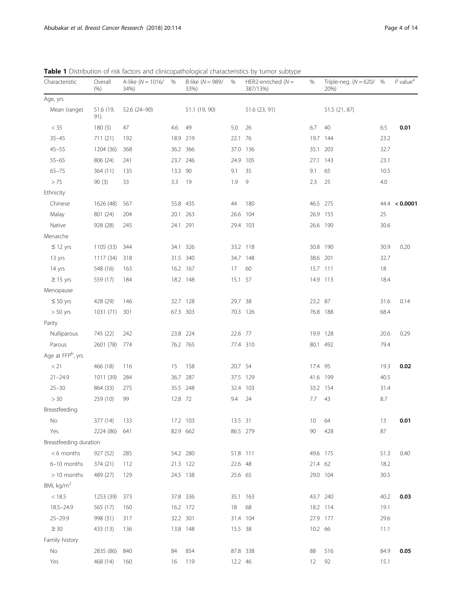| Characteristic<br>Overall<br>A-like ( $N = 1016/$<br>B-like ( $N = 989/$<br>HER2-enriched ( $N =$<br>%<br>%<br>%<br>(% )<br>34%)<br>33%)<br>387/13%) | Triple-neg. $(N = 620/$ %<br>20%) |      | $P$ value <sup><math>a</math></sup> |
|------------------------------------------------------------------------------------------------------------------------------------------------------|-----------------------------------|------|-------------------------------------|
| Age, yrs                                                                                                                                             |                                   |      |                                     |
| Mean (range)<br>51.6 (19,<br>52.6 (24-90)<br>51.1 (19, 90)<br>51.6 (23, 91)<br>91)                                                                   | 51.5 (21, 87)                     |      |                                     |
| $< 35\,$<br>5.0<br>26<br>6.7<br>180(5)<br>47<br>4.6<br>49                                                                                            | 40                                | 6.5  | 0.01                                |
| $35 - 45$<br>711 (21)<br>22.1 76<br>192<br>18.9 219                                                                                                  | 19.7 144                          | 23.2 |                                     |
| $45 - 55$<br>1204 (36)<br>36.2<br>366<br>37.0<br>136<br>35.1<br>368                                                                                  | 203                               | 32.7 |                                     |
| $55 - 65$<br>806 (24)<br>241<br>23.7 246<br>24.9<br>105<br>27.1                                                                                      | 143                               | 23.1 |                                     |
| $65 - 75$<br>35<br>364 (11)<br>135<br>13.3 90<br>9.1<br>9.1                                                                                          | 65                                | 10.5 |                                     |
| > 75<br>33<br>19<br>1.9<br>9<br>2.3<br>90(3)<br>3.3                                                                                                  | 25                                | 4.0  |                                     |
| Ethnicity                                                                                                                                            |                                   |      |                                     |
| 180<br>Chinese<br>1626 (48)<br>567<br>55.8 435<br>44                                                                                                 | 46.5 275                          |      | 44.4 < 0.0001                       |
| Malay<br>801 (24)<br>20.1<br>263<br>26.6<br>104<br>204                                                                                               | 26.9 155                          | 25   |                                     |
| Native<br>928 (28)<br>245<br>24.1 291<br>29.4 103                                                                                                    | 26.6 190                          | 30.6 |                                     |
| Menarche                                                                                                                                             |                                   |      |                                     |
| $\leq$ 12 yrs<br>34.1 326<br>33.2 118<br>1105 (33)<br>344                                                                                            | 30.8 190                          | 30.9 | 0.20                                |
| 31.5 340<br>34.7 148<br>13 yrs<br>1117 (34)<br>318                                                                                                   | 38.6 201                          | 32.7 |                                     |
| 60<br>548 (16)<br>163<br>16.2 167<br>17 <sup>2</sup><br>14 yrs                                                                                       | 15.7 111                          | 18   |                                     |
| $\geq$ 15 yrs<br>559 (17)<br>184<br>18.2 148<br>15.1 57                                                                                              | 14.9 113                          | 18.4 |                                     |
| Menopause                                                                                                                                            |                                   |      |                                     |
| 23.2 87<br>$\leq 50$ yrs<br>428 (29)<br>32.7 128<br>29.7 38<br>146                                                                                   |                                   | 31.6 | 0.14                                |
| $> 50$ yrs<br>1031 (71)<br>301<br>67.3 303<br>70.3 126                                                                                               | 76.8 188                          | 68.4 |                                     |
| Parity                                                                                                                                               |                                   |      |                                     |
| Nulliparous<br>745 (22)<br>242<br>23.8 224<br>22.6 77                                                                                                | 19.9 128                          | 20.6 | 0.29                                |
| Parous<br>2601 (78)<br>76.2 765<br>77.4 310<br>774                                                                                                   | 80.1 492                          | 79.4 |                                     |
| Age at FFP <sup>b</sup> , yrs                                                                                                                        |                                   |      |                                     |
| < 21<br>15<br>158<br>20.7 54<br>17.4 95<br>466 (18)<br>116                                                                                           |                                   | 19.3 | 0.02                                |
| $21 - 24.9$<br>287<br>284<br>36.7<br>37.5 129<br>1011 (39)                                                                                           | 41.6 199                          | 40.5 |                                     |
| $25 - 30$<br>864 (33)<br>35.5 248<br>32.4 103<br>275                                                                                                 | 33.2 154                          | 31.4 |                                     |
| > 30<br>259 (10)<br>99<br>12.8 72<br>9.4<br>24<br>7.7                                                                                                | 43                                | 8.7  |                                     |
| Breastfeeding                                                                                                                                        |                                   |      |                                     |
| No<br>377 (14)<br>133<br>17.2 103<br>13.5 31<br>10 <sup>°</sup>                                                                                      | 64                                | 13   | 0.01                                |
| 90<br>Yes<br>2224 (86)<br>641<br>82.9 662<br>86.5 279                                                                                                | 428                               | 87   |                                     |
| Breastfeeding duration                                                                                                                               |                                   |      |                                     |
| <6 months<br>927 (52)<br>285<br>54.2 280<br>51.8 111                                                                                                 | 49.6 175                          | 51.3 | 0.40                                |
| 6-10 months<br>374 (21)<br>112<br>21.3 122<br>22.6 48<br>21.4 62                                                                                     |                                   | 18.2 |                                     |
| > 10 months<br>489 (27)<br>24.5 138<br>25.6 65<br>129                                                                                                | 29.0 104                          | 30.5 |                                     |
| BMI, kg/m <sup>2</sup>                                                                                                                               |                                   |      |                                     |
| < 18.5<br>1253 (39)<br>373<br>37.8 336<br>35.1 163                                                                                                   | 43.7 240                          | 40.2 | 0.03                                |
| 18.5-24.9<br>68<br>565 (17)<br>160<br>16.2 172<br>18                                                                                                 | 18.2 114                          | 19.1 |                                     |
| $25 - 29.9$<br>998 (31)<br>32.2 301<br>31.4 104<br>317                                                                                               | 27.9 177                          | 29.6 |                                     |
| $\geq 30$<br>433 (13)<br>10.2 66<br>136<br>13.8 148<br>15.5 38                                                                                       |                                   | 11.1 |                                     |
| Family history                                                                                                                                       |                                   |      |                                     |
| No<br>2835 (86)<br>840<br>854<br>87.8 338<br>88<br>84                                                                                                | 516                               | 84.9 | 0.05                                |
| 468 (14)<br>119<br>12.2 46<br>Yes<br>160<br>16<br>12                                                                                                 | 92                                | 15.1 |                                     |

<span id="page-3-0"></span>Table 1 Distribution of risk factors and clinicopathological characteristics by tumor subtype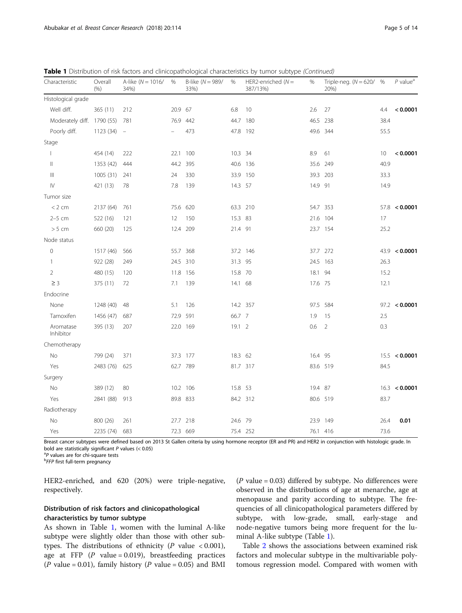| Characteristic             | Overall<br>(% ) | A-like ( $N = 1016/$<br>34%) | %       | B-like ( $N = 989/$<br>33%) | %       | HER2-enriched $(N =$<br>387/13%) | %       | Triple-neg. ( $N = 620/$ %<br>20%) |      | $P$ value <sup>a</sup> |
|----------------------------|-----------------|------------------------------|---------|-----------------------------|---------|----------------------------------|---------|------------------------------------|------|------------------------|
| Histological grade         |                 |                              |         |                             |         |                                  |         |                                    |      |                        |
| Well diff.                 | 365 (11)        | 212                          | 20.9 67 |                             | 6.8     | 10                               | 2.6     | 27                                 | 4.4  | < 0.0001               |
| Moderately diff. 1790 (55) |                 | 781                          |         | 76.9 442                    | 44.7    | 180                              |         | 46.5 238                           | 38.4 |                        |
| Poorly diff.               | 1123 (34)       | $\equiv$                     |         | 473                         |         | 47.8 192                         |         | 49.6 344                           | 55.5 |                        |
| Stage                      |                 |                              |         |                             |         |                                  |         |                                    |      |                        |
| $\overline{\phantom{a}}$   | 454 (14)        | 222                          | 22.1    | 100                         | 10.3 34 |                                  | 8.9     | 61                                 | 10   | < 0.0001               |
| Ш                          | 1353 (42)       | 444                          | 44.2    | 395                         |         | 40.6 136                         | 35.6    | 249                                | 40.9 |                        |
| Ш                          | 1005(31)        | 241                          | 24      | 330                         |         | 33.9 150                         |         | 39.3 203                           | 33.3 |                        |
| $\mathsf{IV}$              | 421 (13)        | 78                           | 7.8     | 139                         | 14.3 57 |                                  | 14.9 91 |                                    | 14.9 |                        |
| Tumor size                 |                 |                              |         |                             |         |                                  |         |                                    |      |                        |
| < 2 cm                     | 2137 (64)       | 761                          | 75.6    | 620                         |         | 63.3 210                         |         | 54.7 353                           |      | 57.8 < 0.0001          |
| $2-5$ cm                   | 522 (16)        | 121                          | 12      | 150                         | 15.3 83 |                                  |         | 21.6 104                           | 17   |                        |
| > 5 cm                     | 660 (20)        | 125                          | 12.4    | 209                         | 21.4 91 |                                  |         | 23.7 154                           | 25.2 |                        |
| Node status                |                 |                              |         |                             |         |                                  |         |                                    |      |                        |
| $\mathsf{O}\xspace$        | 1517 (46)       | 566                          | 55.7    | 368                         |         | 37.2 146                         |         | 37.7 272                           |      | 43.9 < 0.0001          |
| 1                          | 922 (28)        | 249                          |         | 24.5 310                    | 31.3 95 |                                  |         | 24.5 163                           | 26.3 |                        |
| 2                          | 480 (15)        | 120                          | 11.8    | 156                         | 15.8 70 |                                  | 18.1 94 |                                    | 15.2 |                        |
| $\geq$ 3                   | 375 (11)        | 72                           | 7.1     | 139                         | 14.1 68 |                                  | 17.6 75 |                                    | 12.1 |                        |
| Endocrine                  |                 |                              |         |                             |         |                                  |         |                                    |      |                        |
| None                       | 1248 (40)       | 48                           | 5.1     | 126                         |         | 14.2 357                         |         | 97.5 584                           |      | 97.2 < 0.0001          |
| Tamoxifen                  | 1456 (47)       | 687                          | 72.9    | 591                         | 66.7 7  |                                  | 1.9     | 15                                 | 2.5  |                        |
| Aromatase<br>Inhibitor     | 395 (13)        | 207                          |         | 22.0 169                    | 19.12   |                                  | 0.6     | 2                                  | 0.3  |                        |
| Chemotherapy               |                 |                              |         |                             |         |                                  |         |                                    |      |                        |
| No                         | 799 (24)        | 371                          |         | 37.3 177                    | 18.3 62 |                                  | 16.4 95 |                                    |      | 15.5 < 0.0001          |
| Yes                        | 2483 (76)       | 625                          |         | 62.7 789                    |         | 81.7 317                         |         | 83.6 519                           | 84.5 |                        |
| Surgery                    |                 |                              |         |                             |         |                                  |         |                                    |      |                        |
| No                         | 389 (12)        | 80                           |         | 10.2 106                    | 15.8 53 |                                  | 19.4 87 |                                    |      | 16.3 < 0.0001          |
| Yes                        | 2841 (88)       | 913                          |         | 89.8 833                    |         | 84.2 312                         |         | 80.6 519                           | 83.7 |                        |
| Radiotherapy               |                 |                              |         |                             |         |                                  |         |                                    |      |                        |
| No                         | 800 (26)        | 261                          |         | 27.7 218                    | 24.6 79 |                                  |         | 23.9 149                           | 26.4 | 0.01                   |
| Yes                        | 2235 (74)       | 683                          |         | 72.3 669                    |         | 75.4 252                         |         | 76.1 416                           | 73.6 |                        |

Table 1 Distribution of risk factors and clinicopathological characteristics by tumor subtype (Continued)

Breast cancer subtypes were defined based on 2013 St Gallen criteria by using hormone receptor (ER and PR) and HER2 in conjunction with histologic grade. In bold are statistically significant  $P$  values (< 0.05)

<sup>a</sup>P values are for chi-square tests

**bFFP** first full-term pregnancy

HER2-enriched, and 620 (20%) were triple-negative, respectively.

# Distribution of risk factors and clinicopathological characteristics by tumor subtype

As shown in Table [1,](#page-3-0) women with the luminal A-like subtype were slightly older than those with other subtypes. The distributions of ethnicity ( $P$  value < 0.001), age at FFP  $(P \text{ value} = 0.019)$ , breastfeeding practices ( $P$  value = 0.01), family history ( $P$  value = 0.05) and BMI

( $P$  value = 0.03) differed by subtype. No differences were observed in the distributions of age at menarche, age at menopause and parity according to subtype. The frequencies of all clinicopathological parameters differed by subtype, with low-grade, small, early-stage and node-negative tumors being more frequent for the luminal A-like subtype (Table [1](#page-3-0)).

Table [2](#page-5-0) shows the associations between examined risk factors and molecular subtype in the multivariable polytomous regression model. Compared with women with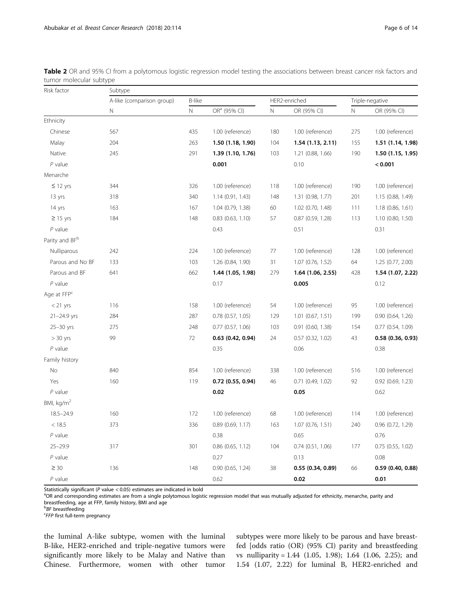| Risk factor                | Subtype                   |               |                          |             |                       |                 |                       |  |  |  |  |
|----------------------------|---------------------------|---------------|--------------------------|-------------|-----------------------|-----------------|-----------------------|--|--|--|--|
|                            | A-like (comparison group) | <b>B-like</b> |                          |             | HER2-enriched         | Triple-negative |                       |  |  |  |  |
|                            | N                         | $\mathsf N$   | OR <sup>a</sup> (95% CI) | $\mathbb N$ | OR (95% CI)           | N               | OR (95% CI)           |  |  |  |  |
| Ethnicity                  |                           |               |                          |             |                       |                 |                       |  |  |  |  |
| Chinese                    | 567                       | 435           | 1.00 (reference)         | 180         | 1.00 (reference)      | 275             | 1.00 (reference)      |  |  |  |  |
| Malay                      | 204                       | 263           | 1.50 (1.18, 1.90)        | 104         | 1.54(1.13, 2.11)      | 155             | 1.51 (1.14, 1.98)     |  |  |  |  |
| Native                     | 245                       | 291           | 1.39 (1.10, 1.76)        | 103         | 1.21 (0.88, 1.66)     | 190             | 1.50 (1.15, 1.95)     |  |  |  |  |
| $P$ value                  |                           |               | 0.001                    |             | 0.10                  |                 | < 0.001               |  |  |  |  |
| Menarche                   |                           |               |                          |             |                       |                 |                       |  |  |  |  |
| $\leq$ 12 yrs              | 344                       | 326           | 1.00 (reference)         | 118         | 1.00 (reference)      | 190             | 1.00 (reference)      |  |  |  |  |
| 13 yrs                     | 318                       | 340           | 1.14 (0.91, 1.43)        | 148         | 1.31 (0.98, 1.77)     | 201             | 1.15 (0.88, 1.49)     |  |  |  |  |
| 14 yrs                     | 163                       | 167           | 1.04 (0.79, 1.38)        | 60          | 1.02 (0.70, 1.48)     | 111             | 1.18 (0.86, 1.61)     |  |  |  |  |
| $\geq$ 15 yrs              | 184                       | 148           | $0.83$ $(0.63, 1.10)$    | 57          | $0.87$ (0.59, 1.28)   | 113             | 1.10 (0.80, 1.50)     |  |  |  |  |
| $P$ value                  |                           |               | 0.43                     |             | 0.51                  |                 | 0.31                  |  |  |  |  |
| Parity and BF <sup>b</sup> |                           |               |                          |             |                       |                 |                       |  |  |  |  |
| Nulliparous                | 242                       | 224           | 1.00 (reference)         | 77          | 1.00 (reference)      | 128             | 1.00 (reference)      |  |  |  |  |
| Parous and No BF           | 133                       | 103           | 1.26 (0.84, 1.90)        | 31          | 1.07 (0.76, 1.52)     | 64              | 1.25 (0.77, 2.00)     |  |  |  |  |
| Parous and BF              | 641                       | 662           | 1.44 (1.05, 1.98)        | 279         | 1.64 (1.06, 2.55)     | 428             | 1.54 (1.07, 2.22)     |  |  |  |  |
| $P$ value                  |                           |               | 0.17                     |             | 0.005                 |                 | 0.12                  |  |  |  |  |
| Age at FFP <sup>c</sup>    |                           |               |                          |             |                       |                 |                       |  |  |  |  |
| $<$ 21 yrs                 | 116                       | 158           | 1.00 (reference)         | 54          | 1.00 (reference)      | 95              | 1.00 (reference)      |  |  |  |  |
| $21 - 24.9$ yrs            | 284                       | 287           | $0.78$ $(0.57, 1.05)$    | 129         | $1.01$ (0.67, 1.51)   | 199             | $0.90$ $(0.64, 1.26)$ |  |  |  |  |
| $25 - 30$ yrs              | 275                       | 248           | $0.77$ $(0.57, 1.06)$    | 103         | $0.91$ $(0.60, 1.38)$ | 154             | $0.77$ $(0.54, 1.09)$ |  |  |  |  |
| $> 30$ yrs                 | 99                        | 72            | $0.63$ $(0.42, 0.94)$    | 24          | $0.57$ $(0.32, 1.02)$ | 43              | 0.58(0.36, 0.93)      |  |  |  |  |
| $P$ value                  |                           |               | 0.35                     |             | 0.06                  |                 | 0.38                  |  |  |  |  |
| Family history             |                           |               |                          |             |                       |                 |                       |  |  |  |  |
| No                         | 840                       | 854           | 1.00 (reference)         | 338         | 1.00 (reference)      | 516             | 1.00 (reference)      |  |  |  |  |
| Yes                        | 160                       | 119           | $0.72$ (0.55, 0.94)      | 46          | $0.71$ $(0.49, 1.02)$ | 92              | 0.92 (0.69, 1.23)     |  |  |  |  |
| $P$ value                  |                           |               | 0.02                     |             | 0.05                  |                 | 0.62                  |  |  |  |  |
| BMI, $\text{kg/m}^2$       |                           |               |                          |             |                       |                 |                       |  |  |  |  |
| $18.5 - 24.9$              | 160                       | 172           | 1.00 (reference)         | 68          | 1.00 (reference)      | 114             | 1.00 (reference)      |  |  |  |  |
| < 18.5                     | 373                       | 336           | $0.89$ (0.69, 1.17)      | 163         | 1.07 (0.76, 1.51)     | 240             | 0.96 (0.72, 1.29)     |  |  |  |  |
| $P$ value                  |                           |               | 0.38                     |             | 0.65                  |                 | 0.76                  |  |  |  |  |
| $25 - 29.9$                | 317                       | 301           | 0.86 (0.65, 1.12)        | 104         | $0.74$ $(0.51, 1.06)$ | 177             | $0.75$ $(0.55, 1.02)$ |  |  |  |  |
| $P$ value                  |                           |               | 0.27                     |             | 0.13                  |                 | 0.08                  |  |  |  |  |
| $\geq 30$                  | 136                       | 148           | 0.90 (0.65, 1.24)        | 38          | 0.55(0.34, 0.89)      | 66              | 0.59(0.40, 0.88)      |  |  |  |  |
| $P$ value                  |                           |               | 0.62                     |             | 0.02                  |                 | 0.01                  |  |  |  |  |

<span id="page-5-0"></span>Table 2 OR and 95% CI from a polytomous logistic regression model testing the associations between breast cancer risk factors and tumor molecular subtype

Statistically significant (P value  $<$  0.05) estimates are indicated in bold

<sup>a</sup>OR and corresponding estimates are from a single polytomous logistic regression model that was mutually adjusted for ethnicity, menarche, parity and breastfeeding, age at FFP, family history, BMI and age

*EFP* first full-term pregnancy

the luminal A-like subtype, women with the luminal B-like, HER2-enriched and triple-negative tumors were significantly more likely to be Malay and Native than Chinese. Furthermore, women with other tumor

subtypes were more likely to be parous and have breastfed [odds ratio (OR) (95% CI) parity and breastfeeding vs nulliparity = 1.44 (1.05, 1.98); 1.64 (1.06, 2.25); and 1.54 (1.07, 2.22) for luminal B, HER2-enriched and

*BF* breastfeeding<br>EFFP first full torm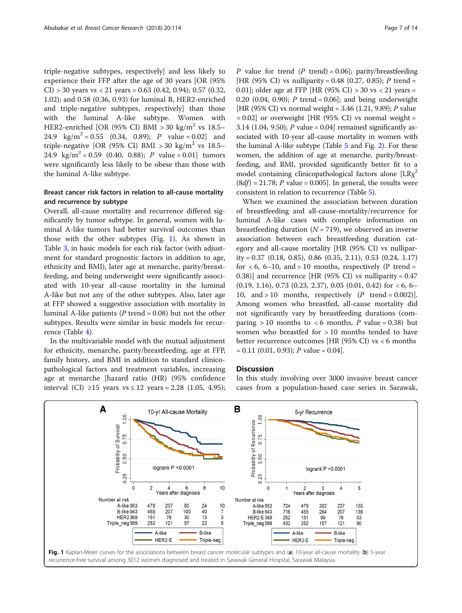triple-negative subtypes, respectively] and less likely to experience their FFP after the age of 30 years [OR (95% CI) > 30 years vs < 21 years = 0.63 (0.42, 0.94); 0.57 (0.32, 1.02); and 0.58 (0.36, 0.93) for luminal B, HER2-enriched and triple-negative subtypes, respectively] than those with the luminal A-like subtype. Women with HER2-enriched [OR (95% CI) BMI > 30 kg/m<sup>2</sup> vs 18.5– 24.9 kg/m<sup>2</sup> = 0.55 (0.34, 0.89); *P* value = 0.02] and triple-negative [OR (95% CI) BMI > 30 kg/m<sup>2</sup> vs 18.5– 24.9 kg/m<sup>2</sup> = 0.59 (0.40, 0.88); P value = 0.01 tumors were significantly less likely to be obese than those with the luminal A-like subtype.

# Breast cancer risk factors in relation to all-cause mortality and recurrence by subtype

Overall, all-cause mortality and recurrence differed significantly by tumor subtype. In general, women with luminal A-like tumors had better survival outcomes than those with the other subtypes (Fig. 1). As shown in Table [3,](#page-7-0) in basic models for each risk factor (with adjustment for standard prognostic factors in addition to age, ethnicity and BMI), later age at menarche, parity/breastfeeding, and being underweight were significantly associated with 10-year all-cause mortality in the luminal A-like but not any of the other subtypes. Also, later age at FFP showed a suggestive association with mortality in luminal A-like patients ( $P$  trend = 0.08) but not the other subtypes. Results were similar in basic models for recurrence (Table [4](#page-8-0)).

In the multivariable model with the mutual adjustment for ethnicity, menarche, parity/breastfeeding, age at FFP, family history, and BMI in addition to standard clinicopathological factors and treatment variables, increasing age at menarche [hazard ratio (HR) (95% confidence interval (CI) ≥15 years vs ≤ 12 years = 2.28 (1.05, 4.95); P value for trend  $(P$  trend) = 0.06]; parity/breastfeeding [HR (95% CI) vs nulliparity = 0.48 (0.27, 0.85); P trend = 0.01]; older age at FFP [HR (95% CI)  $> 30$  vs  $< 21$  years = 0.20 (0.04, 0.90); *P* trend = 0.06]; and being underweight [HR (95% CI) vs normal weight = 3.46 (1.21, 9.89); P value  $= 0.02$ ] or overweight [HR (95% CI) vs normal weight  $=$ 3.14 (1.04, 9.50);  $P$  value = 0.04] remained significantly associated with 10-year all-cause mortality in women with the luminal A-like subtype (Table [5](#page-10-0) and Fig. [2\)](#page-9-0). For these women, the addition of age at menarche, parity/breastfeeding, and BMI, provided significantly better fit to a model containing clinicopathological factors alone  $[LRx^2]$  $(8df) = 21.78$ ; P value = 0.005]. In general, the results were consistent in relation to recurrence (Table [5\)](#page-10-0).

When we examined the association between duration of breastfeeding and all-cause-mortality/recurrence for luminal A-like cases with complete information on breastfeeding duration  $(N = 719)$ , we observed an inverse association between each breastfeeding duration category and all-cause mortality [HR (95% CI) vs nulliparity = 0.37 (0.18, 0.85), 0.86 (0.35, 2.11), 0.53 (0.24, 1.17) for  $< 6$ , 6–10, and  $> 10$  months, respectively (P trend = 0.38)] and recurrence [HR (95% CI) vs nulliparity =  $0.47$  $(0.19, 1.16), 0.73 (0.23, 2.37), 0.05 (0.01, 0.42)$  for  $< 6, 6-$ 10, and > 10 months, respectively  $(P$  trend = 0.002)]. Among women who breastfed, all-cause mortality did not significantly vary by breastfeeding durations (comparing  $> 10$  months to  $< 6$  months, P value = 0.38) but women who breastfed for > 10 months tended to have better recurrence outcomes [HR (95% CI) vs < 6 months  $= 0.11$  (0.01, 0.93); P value  $= 0.04$ .

## **Discussion**

In this study involving over 3000 invasive breast cancer cases from a population-based case series in Sarawak,

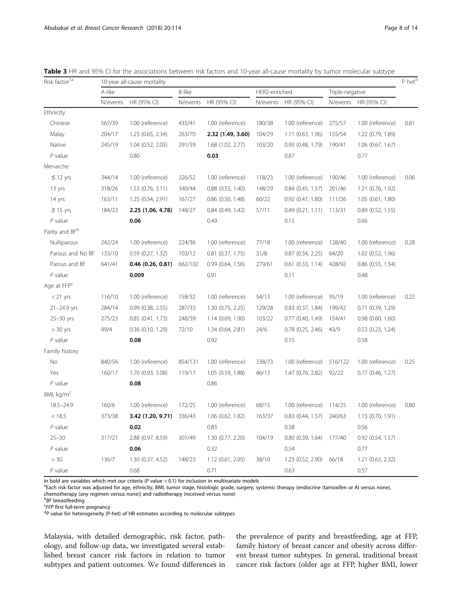| Risk factor <sup>1a</sup>  | 10-year all-cause mortality |                       |               |                       |               |                       |                 |                       |      |  |
|----------------------------|-----------------------------|-----------------------|---------------|-----------------------|---------------|-----------------------|-----------------|-----------------------|------|--|
|                            | A-like                      |                       | <b>B-like</b> |                       | HER2-enriched |                       | Triple-negative |                       |      |  |
|                            | N/events                    | HR (95% CI)           | N/events      | HR (95% CI)           | N/events      | HR (95% CI)           | N/events        | HR (95% CI)           |      |  |
| Ethnicity                  |                             |                       |               |                       |               |                       |                 |                       |      |  |
| Chinese                    | 567/39                      | 1.00 (reference)      | 435/41        | 1.00 (reference)      | 180/38        | 1.00 (reference)      | 275/57          | 1.00 (reference)      | 0.81 |  |
| Malay                      | 204/17                      | 1.23 (0.65, 2.34)     | 263/70        | 2.32 (1.49, 3.60)     | 104/29        | 1.11(0.63, 1.96)      | 155/54          | 1.22 (0.79, 1.89)     |      |  |
| Native                     | 245/19                      | 1.04 (0.52, 2.05)     | 291/39        | 1.68 (1.02, 2.77)     | 103/20        | 0.93 (0.48, 1.79)     | 190/41          | 1.06 (0.67, 1.67)     |      |  |
| $P$ value                  |                             | 0.80                  |               | 0.03                  |               | 0.87                  |                 | 0.77                  |      |  |
| Menarche                   |                             |                       |               |                       |               |                       |                 |                       |      |  |
| $\leq$ 12 yrs              | 344/14                      | 1.00 (reference)      | 326/52        | 1.00 (reference)      | 118/23        | 1.00 (reference)      | 190/46          | 1.00 (reference)      | 0.06 |  |
| 13 yrs                     | 318/26                      | $1.53$ (0.76, 3.11)   | 340/44        | $0.88$ $(0.55, 1.40)$ | 148/29        | $0.84$ (0.45, 1.57)   | 201/46          | 1.21 (0.76, 1.92)     |      |  |
| 14 yrs                     | 163/11                      | 1.25 (0.54, 2.91)     | 167/27        | 0.86 (0.50, 1.48)     | 60/22         | 0.92 (0.47, 1.80)     | 111/26          | 1.05 (0.61, 1.80)     |      |  |
| $\geq$ 15 yrs              | 184/23                      | 2.25 (1.06, 4.78)     | 148/27        | $0.84$ (0.49, 1.42)   | 57/11         | 0.49(0.21, 1.11)      | 113/31          | $0.89$ (0.52, 1.55)   |      |  |
| $P$ value                  |                             | 0.06                  |               | 0.49                  |               | 0.15                  |                 | 0.66                  |      |  |
| Parity and BF <sup>b</sup> |                             |                       |               |                       |               |                       |                 |                       |      |  |
| Nulliparous                | 242/24                      | 1.00 (reference)      | 224/36        | 1.00 (reference)      | 77/18         | 1.00 (reference)      | 128/40          | 1.00 (reference)      | 0.28 |  |
| Parous and No BF           | 133/10                      | $0.59$ $(0.27, 1.32)$ | 103/12        | $0.81$ $(0.37, 1.75)$ | 31/8          | 0.87 (0.34, 2.25)     | 64/20           | 1.02 (0.52, 1.96)     |      |  |
| Parous and BF              | 641/41                      | 0.46(0.26, 0.81)      | 662/102       | $0.99$ (0.64, 1.56)   | 279/61        | $0.61$ $(0.33, 1.14)$ | 428/92          | $0.86$ (0.55, 1.34)   |      |  |
| $P$ value                  |                             | 0.009                 |               | 0.91                  |               | 0.11                  |                 | 0.48                  |      |  |
| Age at FFP <sup>c</sup>    |                             |                       |               |                       |               |                       |                 |                       |      |  |
| $<$ 21 yrs                 | 116/10                      | 1.00 (reference)      | 158/32        | 1.00 (reference)      | 54/13         | 1.00 (reference)      | 95/19           | 1.00 (reference)      | 0.22 |  |
| $21 - 24.9$ yrs            | 284/14                      | 0.99(0.38, 2.55)      | 287/33        | 1.30 (0.75, 2.25)     | 129/28        | $0.83$ $(0.37, 1.84)$ | 199/42          | 0.71 (0.39, 1.29)     |      |  |
| $25 - 30$ yrs              | 275/23                      | $0.85$ $(0.41, 1.73)$ | 248/39        | 1.14 (0.69, 1.90)     | 103/22        | 0.77 (0.40, 1.49)     | 154/41          | $0.98$ $(0.60, 1.60)$ |      |  |
| $> 30$ yrs                 | 99/4                        | 0.36 (0.10, 1.29)     | 72/10         | 1.34 (0.64, 2.81)     | 24/6          | $0.78$ $(0.25, 2.46)$ | 43/9            | 0.53 (0.23, 1.24)     |      |  |
| $P$ value                  |                             | 0.08                  |               | 0.92                  |               | 0.15                  |                 | 0.58                  |      |  |
| Family history             |                             |                       |               |                       |               |                       |                 |                       |      |  |
| No                         | 840/56                      | 1.00 (reference)      | 854/131       | 1.00 (reference)      | 338/73        | 1.00 (reference)      | 516/122         | 1.00 (reference)      | 0.25 |  |
| Yes                        | 160/17                      | 1.70 (0.93, 3.08)     | 119/17        | 1.05 (0.59, 1.88)     | 46/13         | 1.47 (0.76, 2.82)     | 92/22           | $0.77$ (0.46, 1.27)   |      |  |
| $P$ value                  |                             | 0.08                  |               | 0.86                  |               |                       |                 |                       |      |  |
| BMI, $kg/m2$               |                             |                       |               |                       |               |                       |                 |                       |      |  |
| $18.5 - 24.9$              | 160/6                       | 1.00 (reference)      | 172/25        | 1.00 (reference)      | 68/15         | 1.00 (reference)      | 114/25          | 1.00 (reference)      | 0.80 |  |
| < 18.5                     | 373/38                      | 3.42 (1.20, 9.71)     | 336/43        | 1.06 (0.62, 1.82)     | 163/37        | $0.83$ $(0.44, 1.57)$ | 240/63          | 1.15 (0.70, 1.91)     |      |  |
| $P$ value                  |                             | 0.02                  |               | 0.83                  |               | 0.58                  |                 | 0.56                  |      |  |
| $25 - 30$                  | 317/21                      | 2.88 (0.97, 8.59)     | 301/49        | 1.30 (0.77, 2.20)     | 104/19        | $0.80$ $(0.39, 1.64)$ | 177/40          | 0.92 (0.54, 1.57)     |      |  |
| $P$ value                  |                             | 0.06                  |               | 0.32                  |               | 0.54                  |                 | 0.77                  |      |  |
| >30                        | 136/7                       | 1.30 (0.37, 4.52)     | 148/23        | 1.12 (0.61, 2.05)     | 38/10         | 1.23 (0.52, 2.90)     | 66/18           | 1.21 (0.63, 2.32)     |      |  |
| $P$ value                  |                             | 0.68                  |               | 0.71                  |               | 0.63                  |                 | 0.57                  |      |  |

<span id="page-7-0"></span>Table 3 HR and 95% CI for the associations between risk factors and 10-year all-cause mortality by tumor molecular subtype

In bold are variables which met our criteria ( $P$  value < 0.1) for inclusion in multivariate models

<sup>a</sup>Each risk factor was adjusted for age, ethnicity, BMI, tumor stage, histologic grade, surgery, systemic therapy (endocrine (tamoxifen or AI versus none), chemotherapy (any regimen versus none)) and radiotherapy (received versus none)

*BF* breastfeeding<br><sup>C</sup>EEP first full torm

 ${}^c$ FFP first full-term pregnancy

 ${}^{d}P$  value for heterogeneity (P-het) of HR estimates according to molecular subtypes

Malaysia, with detailed demographic, risk factor, pathology, and follow-up data, we investigated several established breast cancer risk factors in relation to tumor subtypes and patient outcomes. We found differences in

the prevalence of parity and breastfeeding, age at FFP, family history of breast cancer and obesity across different breast tumor subtypes. In general, traditional breast cancer risk factors (older age at FFP, higher BMI, lower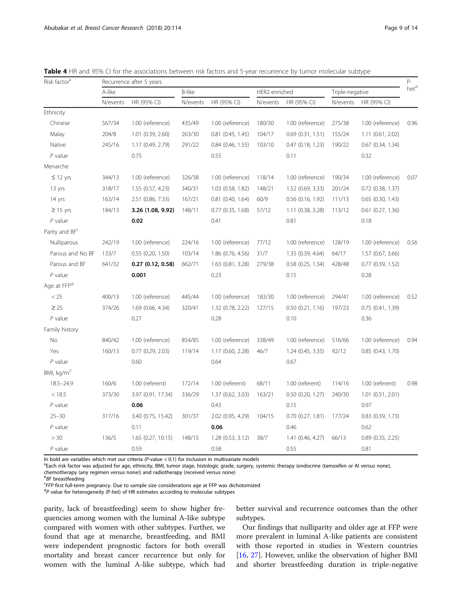| Page 9 OL |  |
|-----------|--|
|           |  |
|           |  |
|           |  |

| Risk factor <sup>a</sup> | Recurrence after 5 years |                       |          |                       |               |                       |                 |                       |      |  |
|--------------------------|--------------------------|-----------------------|----------|-----------------------|---------------|-----------------------|-----------------|-----------------------|------|--|
|                          | A-like                   |                       | B-like   |                       | HER2-enriched |                       | Triple-negative |                       | hetd |  |
|                          | N/events                 | HR (95% CI)           | N/events | HR (95% CI)           | N/events      | HR (95% CI)           | N/events        | HR (95% CI)           |      |  |
| Ethnicity                |                          |                       |          |                       |               |                       |                 |                       |      |  |
| Chinese                  | 567/34                   | 1.00 (reference)      | 435/49   | 1.00 (reference)      | 180/30        | 1.00 (reference)      | 275/38          | 1.00 (reference)      | 0.96 |  |
| Malay                    | 204/8                    | 1.01 (0.39, 2.60)     | 263/30   | $0.81$ (0.45, 1.45)   | 104/17        | $0.69$ $(0.31, 1.51)$ | 155/24          | $1.11$ (0.61, 2.02)   |      |  |
| Native                   | 245/16                   | 1.17 (0.49, 2.79)     | 291/22   | $0.84$ (0.46, 1.55)   | 103/10        | $0.47$ $(0.18, 1.23)$ | 190/22          | $0.67$ $(0.34, 1.34)$ |      |  |
| $P$ value                |                          | 0.75                  |          | 0.55                  |               | 0.11                  |                 | 0.32                  |      |  |
| Menarche                 |                          |                       |          |                       |               |                       |                 |                       |      |  |
| $\leq$ 12 yrs            | 344/13                   | 1.00 (reference)      | 326/38   | 1.00 (reference)      | 118/14        | 1.00 (reference)      | 190/34          | 1.00 (reference)      | 0.07 |  |
| 13 yrs                   | 318/17                   | 1.55 (0.57, 4.23)     | 340/31   | 1.03 (0.58, 1.82)     | 148/21        | 1.52 (0.69, 3.33)     | 201/24          | 0.72 (0.38, 1.37)     |      |  |
| 14 yrs                   | 163/14                   | 2.51 (0.86, 7.33)     | 167/21   | $0.81$ $(0.40, 1.64)$ | 60/9          | $0.56$ (0.16, 1.92)   | 111/13          | $0.65$ $(0.30, 1.43)$ |      |  |
| $\geq$ 15 yrs            | 184/13                   | 3.26 (1.08, 9.92)     | 148/11   | $0.77$ $(0.35, 1.68)$ | 57/12         | 1.11 (0.38, 3.28)     | 113/12          | $0.61$ $(0.27, 1.36)$ |      |  |
| $P$ value                |                          | 0.02                  |          | 0.41                  |               | 0.81                  |                 | 0.18                  |      |  |
| Parity and BFC           |                          |                       |          |                       |               |                       |                 |                       |      |  |
| Nulliparous              | 242/19                   | 1.00 (reference)      | 224/16   | 1.00 (reference)      | 77/12         | 1.00 (reference)      | 128/19          | 1.00 (reference)      | 0.56 |  |
| Parous and No BF         | 133/7                    | 0.55(0.20, 1.50)      | 103/14   | 1.86 (0.76, 4.56)     | 31/7          | 1.35 (0.39, 4.64)     | 64/17           | 1.57 (0.67, 3.66)     |      |  |
| Parous and BF            | 641/32                   | 0.27(0.12, 0.58)      | 662/71   | $1.63$ $(0.81, 3.28)$ | 279/38        | $0.58$ $(0.25, 1.34)$ | 428/48          | $0.77$ $(0.39, 1.52)$ |      |  |
| $P$ value                |                          | 0.001                 |          | 0.23                  |               | 0.15                  |                 | 0.28                  |      |  |
| Age at FFP <sup>d</sup>  |                          |                       |          |                       |               |                       |                 |                       |      |  |
| < 25                     | 400/13                   | 1.00 (reference)      | 445/44   | 1.00 (reference)      | 183/30        | 1.00 (reference)      | 294/41          | 1.00 (reference)      | 0.52 |  |
| $\geq$ 25                | 374/26                   | 1.69 (0.66, 4.34)     | 320/41   | 1.32 (0.78, 2.22)     | 127/15        | $0.50$ $(0.21, 1.16)$ | 197/23          | 0.75(0.41, 1.39)      |      |  |
| $P$ value                |                          | 0.27                  |          | 0.28                  |               | 0.10                  |                 | 0.36                  |      |  |
| Family history           |                          |                       |          |                       |               |                       |                 |                       |      |  |
| No                       | 840/42                   | 1.00 (reference)      | 854/85   | 1.00 (reference)      | 338/49        | 1.00 (reference)      | 516/66          | 1.00 (reference)      | 0.94 |  |
| Yes                      | 160/13                   | $0.77$ $(0.29, 2.03)$ | 119/14   | 1.17 (0.60, 2.28)     | 46/7          | 1.24(0.45, 3.35)      | 92/12           | 0.85(0.43, 1.70)      |      |  |
| $P$ value                |                          | 0.60                  |          | 0.64                  |               | 0.67                  |                 |                       |      |  |
| BMI, kg/m <sup>2</sup>   |                          |                       |          |                       |               |                       |                 |                       |      |  |
| $18.5 - 24.9$            | 160/6                    | 1.00 (referent)       | 172/14   | 1.00 (referent)       | 68/11         | 1.00 (referent)       | 114/16          | 1.00 (referent)       | 0.98 |  |
| < 18.5                   | 373/30                   | 3.97 (0.91, 17.34)    | 336/29   | 1.37(0.62, 3.03)      | 163/21        | $0.50$ $(0.20, 1.27)$ | 240/30          | 1.01 (0.51, 2.01)     |      |  |
| $P$ value                |                          | 0.06                  |          | 0.43                  |               | 0.15                  |                 | 0.97                  |      |  |
| $25 - 30$                | 317/16                   | 3.40 (0.75, 15.42)    | 301/37   | 2.02 (0.95, 4.29)     | 104/15        | $0.70$ $(0.27, 1.81)$ | 177/24          | $0.83$ $(0.39, 1.73)$ |      |  |
| $P$ value                |                          | 0.11                  |          | 0.06                  |               | 0.46                  |                 | 0.62                  |      |  |
| > 30                     | 136/5                    | 1.65 (0.27, 10.15)    | 148/15   | 1.28 (0.53, 3.12)     | 38/7          | 1.41 (0.46, 4.27)     | 66/13           | $0.89$ $(0.35, 2.25)$ |      |  |
| $P$ value                |                          | 0.59                  |          | 0.58                  |               | 0.55                  |                 | 0.81                  |      |  |

<span id="page-8-0"></span>Table 4 HR and 95% CI for the associations between risk factors and 5-year recurrence by tumor molecular subtype

In bold are variables which met our criteria ( $P$ -value < 0.1) for inclusion in multivariate models

<sup>a</sup>Each risk factor was adjusted for age, ethnicity, BMI, tumor stage, histologic grade, surgery, systemic therapy (endocrine (tamoxifen or AI versus none), chemotherapy (any regimen versus none)) and radiotherapy (received versus none)

FFP first full-term pregnancy. Due to sample size considerations age at FFP was dichotomized

 ${}^{d}P$  value for heterogeneity (P-het) of HR estimates according to molecular subtypes

parity, lack of breastfeeding) seem to show higher frequencies among women with the luminal A-like subtype compared with women with other subtypes. Further, we found that age at menarche, breastfeeding, and BMI were independent prognostic factors for both overall mortality and breast cancer recurrence but only for women with the luminal A-like subtype, which had

better survival and recurrence outcomes than the other subtypes.

Our findings that nulliparity and older age at FFP were more prevalent in luminal A-like patients are consistent with those reported in studies in Western countries [[16,](#page-12-0) [27](#page-12-0)]. However, unlike the observation of higher BMI and shorter breastfeeding duration in triple-negative

*BF* breastfeeding<br>FEER first full torm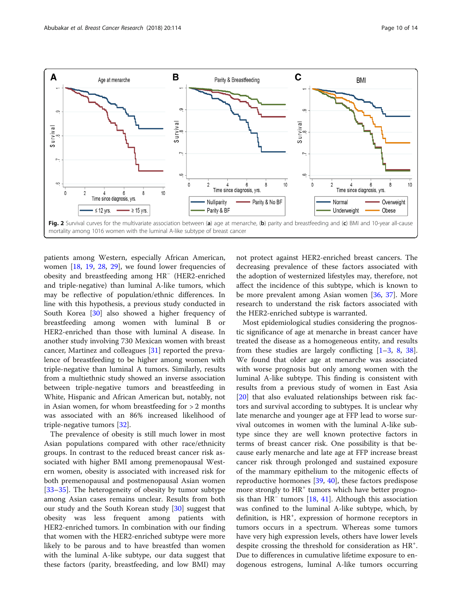<span id="page-9-0"></span>

patients among Western, especially African American, women  $[18, 19, 28, 29]$  $[18, 19, 28, 29]$  $[18, 19, 28, 29]$  $[18, 19, 28, 29]$  $[18, 19, 28, 29]$  $[18, 19, 28, 29]$  $[18, 19, 28, 29]$  $[18, 19, 28, 29]$  $[18, 19, 28, 29]$ , we found lower frequencies of obesity and breastfeeding among HR<sup>−</sup> (HER2-enriched and triple-negative) than luminal A-like tumors, which may be reflective of population/ethnic differences. In line with this hypothesis, a previous study conducted in South Korea [\[30\]](#page-12-0) also showed a higher frequency of breastfeeding among women with luminal B or HER2-enriched than those with luminal A disease. In another study involving 730 Mexican women with breast cancer, Martinez and colleagues [\[31](#page-12-0)] reported the prevalence of breastfeeding to be higher among women with triple-negative than luminal A tumors. Similarly, results from a multiethnic study showed an inverse association between triple-negative tumors and breastfeeding in White, Hispanic and African American but, notably, not in Asian women, for whom breastfeeding for > 2 months was associated with an 86% increased likelihood of triple-negative tumors [[32\]](#page-12-0).

The prevalence of obesity is still much lower in most Asian populations compared with other race/ethnicity groups. In contrast to the reduced breast cancer risk associated with higher BMI among premenopausal Western women, obesity is associated with increased risk for both premenopausal and postmenopausal Asian women [[33](#page-12-0)–[35](#page-12-0)]. The heterogeneity of obesity by tumor subtype among Asian cases remains unclear. Results from both our study and the South Korean study [\[30](#page-12-0)] suggest that obesity was less frequent among patients with HER2-enriched tumors. In combination with our finding that women with the HER2-enriched subtype were more likely to be parous and to have breastfed than women with the luminal A-like subtype, our data suggest that these factors (parity, breastfeeding, and low BMI) may not protect against HER2-enriched breast cancers. The decreasing prevalence of these factors associated with the adoption of westernized lifestyles may, therefore, not affect the incidence of this subtype, which is known to be more prevalent among Asian women [\[36](#page-12-0), [37](#page-13-0)]. More research to understand the risk factors associated with the HER2-enriched subtype is warranted.

Most epidemiological studies considering the prognostic significance of age at menarche in breast cancer have treated the disease as a homogeneous entity, and results from these studies are largely conflicting  $[1-3, 8, 38]$  $[1-3, 8, 38]$  $[1-3, 8, 38]$  $[1-3, 8, 38]$  $[1-3, 8, 38]$  $[1-3, 8, 38]$  $[1-3, 8, 38]$  $[1-3, 8, 38]$  $[1-3, 8, 38]$ . We found that older age at menarche was associated with worse prognosis but only among women with the luminal A-like subtype. This finding is consistent with results from a previous study of women in East Asia [[20\]](#page-12-0) that also evaluated relationships between risk factors and survival according to subtypes. It is unclear why late menarche and younger age at FFP lead to worse survival outcomes in women with the luminal A-like subtype since they are well known protective factors in terms of breast cancer risk. One possibility is that because early menarche and late age at FFP increase breast cancer risk through prolonged and sustained exposure of the mammary epithelium to the mitogenic effects of reproductive hormones [[39,](#page-13-0) [40\]](#page-13-0), these factors predispose more strongly to  $HR^+$  tumors which have better prognosis than HR<sup>−</sup> tumors [\[18](#page-12-0), [41\]](#page-13-0). Although this association was confined to the luminal A-like subtype, which, by definition, is HR<sup>+</sup>, expression of hormone receptors in tumors occurs in a spectrum. Whereas some tumors have very high expression levels, others have lower levels despite crossing the threshold for consideration as HR<sup>+</sup>. Due to differences in cumulative lifetime exposure to endogenous estrogens, luminal A-like tumors occurring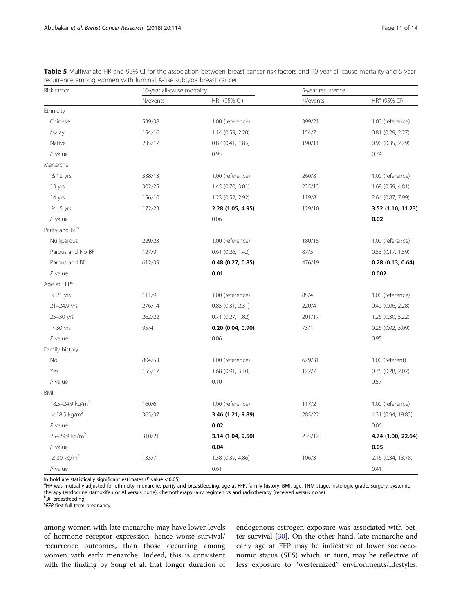| Risk factor                 | 10-year all-cause mortality |                       | 5-year recurrence |                          |  |
|-----------------------------|-----------------------------|-----------------------|-------------------|--------------------------|--|
|                             | N/events                    | $HR1$ (95% CI)        | N/events          | HR <sup>a</sup> (95% CI) |  |
| Ethnicity                   |                             |                       |                   |                          |  |
| Chinese                     | 539/38                      | 1.00 (reference)      | 399/21            | 1.00 (reference)         |  |
| Malay                       | 194/16                      | 1.14 (0.59, 2.20)     | 154/7             | $0.81$ $(0.29, 2.27)$    |  |
| Native                      | 235/17                      | 0.87(0.41, 1.85)      | 190/11            | $0.90$ $(0.35, 2.29)$    |  |
| $P$ value                   |                             | 0.95                  |                   | 0.74                     |  |
| Menarche                    |                             |                       |                   |                          |  |
| $\leq$ 12 yrs               | 338/13                      | 1.00 (reference)      | 260/8             | 1.00 (reference)         |  |
| 13 yrs                      | 302/25                      | 1.45 (0.70, 3.01)     | 235/13            | 1.69 (0.59, 4.81)        |  |
| 14 yrs                      | 156/10                      | 1.23 (0.52, 2.92)     | 119/8             | 2.64 (0.87, 7.99)        |  |
| $\geq$ 15 yrs               | 172/23                      | 2.28 (1.05, 4.95)     | 129/10            | 3.52 (1.10, 11.23)       |  |
| $P$ value                   |                             | 0.06                  |                   | 0.02                     |  |
| Parity and BF <sup>b</sup>  |                             |                       |                   |                          |  |
| Nulliparous                 | 229/23                      | 1.00 (reference)      | 180/15            | 1.00 (reference)         |  |
| Parous and No BF            | 127/9                       | 0.61 (0.26, 1.42)     | 87/5              | $0.53$ (0.17. 1.59)      |  |
| Parous and BF               | 612/39                      | $0.48$ $(0.27, 0.85)$ | 476/19            | 0.28(0.13, 0.64)         |  |
| $P$ value                   |                             | 0.01                  |                   | 0.002                    |  |
| Age at FFP <sup>c</sup>     |                             |                       |                   |                          |  |
| $< 21$ yrs                  | 111/9                       | 1.00 (reference)      | 85/4              | 1.00 (reference)         |  |
| $21 - 24.9$ yrs             | 276/14                      | 0.85(0.31, 2.31)      | 220/4             | $0.40$ $(0.06, 2.28)$    |  |
| $25 - 30$ yrs               | 262/22                      | $0.71$ $(0.27, 1.82)$ | 201/17            | 1.26 (0.30, 5.22)        |  |
| $> 30$ yrs                  | 95/4                        | 0.20(0.04, 0.90)      | 73/1              | $0.26$ (0.02, 3.09)      |  |
| $P$ value                   |                             | 0.06                  |                   | 0.95                     |  |
| Family history              |                             |                       |                   |                          |  |
| No                          | 804/53                      | 1.00 (reference)      | 629/31            | 1.00 (referent)          |  |
| Yes                         | 155/17                      | 1.68(0.91, 3.10)      | 122/7             | $0.75$ (0.28, 2.02)      |  |
| $P$ value                   |                             | 0.10                  |                   | 0.57                     |  |
| <b>BMI</b>                  |                             |                       |                   |                          |  |
| 18.5-24.9 kg/m <sup>2</sup> | 160/6                       | 1.00 (reference)      | 117/2             | 1.00 (reference)         |  |
| $<$ 18.5 kg/m <sup>2</sup>  | 365/37                      | 3.46 (1.21, 9.89)     | 285/22            | 4.31 (0.94, 19.83)       |  |
| $P$ value                   |                             | 0.02                  |                   | 0.06                     |  |
| 25-29.9 kg/m <sup>2</sup>   | 310/21                      | 3.14 (1.04, 9.50)     | 235/12            | 4.74 (1.00, 22.64)       |  |
| $P$ value                   |                             | 0.04                  |                   | 0.05                     |  |
| $\geq$ 30 kg/m <sup>2</sup> | 133/7                       | 1.38 (0.39, 4.86)     | 106/3             | 2.16 (0.34, 13.78)       |  |
| $P$ value                   |                             | 0.61                  |                   | 0.41                     |  |

<span id="page-10-0"></span>Table 5 Multivariate HR and 95% CI for the association between breast cancer risk factors and 10-year all-cause mortality and 5-year recurrence among women with luminal A-like subtype breast cancer

In bold are statistically significant estimates ( $P$  value < 0.05)

<sup>a</sup>HR was mutually adjusted for ethnicity, menarche, parity and breastfeeding, age at FFP, family history, BMI, age, TNM stage, histologic grade, surgery, systemic therapy (endocrine (tamoxifen or AI versus none), chemotherapy (any regimen vs and radiotherapy (received versus none)

*BF* breastfeeding<br>FEER first full torm

**EFFP** first full-term pregnancy

among women with late menarche may have lower levels of hormone receptor expression, hence worse survival/ recurrence outcomes, than those occurring among women with early menarche. Indeed, this is consistent with the finding by Song et al. that longer duration of

endogenous estrogen exposure was associated with better survival [[30\]](#page-12-0). On the other hand, late menarche and early age at FFP may be indicative of lower socioeconomic status (SES) which, in turn, may be reflective of less exposure to "westernized" environments/lifestyles.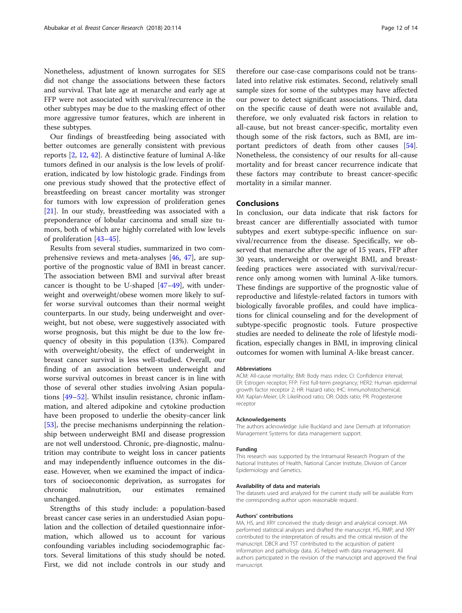Nonetheless, adjustment of known surrogates for SES did not change the associations between these factors and survival. That late age at menarche and early age at FFP were not associated with survival/recurrence in the other subtypes may be due to the masking effect of other more aggressive tumor features, which are inherent in these subtypes.

Our findings of breastfeeding being associated with better outcomes are generally consistent with previous reports [[2,](#page-12-0) [12,](#page-12-0) [42\]](#page-13-0). A distinctive feature of luminal A-like tumors defined in our analysis is the low levels of proliferation, indicated by low histologic grade. Findings from one previous study showed that the protective effect of breastfeeding on breast cancer mortality was stronger for tumors with low expression of proliferation genes [[21\]](#page-12-0). In our study, breastfeeding was associated with a preponderance of lobular carcinoma and small size tumors, both of which are highly correlated with low levels of proliferation [\[43](#page-13-0)–[45](#page-13-0)].

Results from several studies, summarized in two comprehensive reviews and meta-analyses [\[46](#page-13-0), [47](#page-13-0)], are supportive of the prognostic value of BMI in breast cancer. The association between BMI and survival after breast cancer is thought to be U-shaped [\[47](#page-13-0)–[49\]](#page-13-0), with underweight and overweight/obese women more likely to suffer worse survival outcomes than their normal weight counterparts. In our study, being underweight and overweight, but not obese, were suggestively associated with worse prognosis, but this might be due to the low frequency of obesity in this population (13%). Compared with overweight/obesity, the effect of underweight in breast cancer survival is less well-studied. Overall, our finding of an association between underweight and worse survival outcomes in breast cancer is in line with those of several other studies involving Asian populations [[49](#page-13-0)–[52](#page-13-0)]. Whilst insulin resistance, chronic inflammation, and altered adipokine and cytokine production have been proposed to underlie the obesity-cancer link [[53\]](#page-13-0), the precise mechanisms underpinning the relationship between underweight BMI and disease progression are not well understood. Chronic, pre-diagnostic, malnutrition may contribute to weight loss in cancer patients and may independently influence outcomes in the disease. However, when we examined the impact of indicators of socioeconomic deprivation, as surrogates for chronic malnutrition, our estimates remained unchanged.

Strengths of this study include: a population-based breast cancer case series in an understudied Asian population and the collection of detailed questionnaire information, which allowed us to account for various confounding variables including sociodemographic factors. Several limitations of this study should be noted. First, we did not include controls in our study and

therefore our case-case comparisons could not be translated into relative risk estimates. Second, relatively small sample sizes for some of the subtypes may have affected our power to detect significant associations. Third, data on the specific cause of death were not available and, therefore, we only evaluated risk factors in relation to all-cause, but not breast cancer-specific, mortality even though some of the risk factors, such as BMI, are important predictors of death from other causes [\[54](#page-13-0)]. Nonetheless, the consistency of our results for all-cause mortality and for breast cancer recurrence indicate that these factors may contribute to breast cancer-specific mortality in a similar manner.

# Conclusions

In conclusion, our data indicate that risk factors for breast cancer are differentially associated with tumor subtypes and exert subtype-specific influence on survival/recurrence from the disease. Specifically, we observed that menarche after the age of 15 years, FFP after 30 years, underweight or overweight BMI, and breastfeeding practices were associated with survival/recurrence only among women with luminal A-like tumors. These findings are supportive of the prognostic value of reproductive and lifestyle-related factors in tumors with biologically favorable profiles, and could have implications for clinical counseling and for the development of subtype-specific prognostic tools. Future prospective studies are needed to delineate the role of lifestyle modification, especially changes in BMI, in improving clinical outcomes for women with luminal A-like breast cancer.

#### Abbreviations

ACM: All-cause mortality; BMI: Body mass index; CI: Confidence interval; ER: Estrogen receptor; FFP: First full-term pregnancy; HER2: Human epidermal growth factor receptor 2; HR: Hazard ratio; IHC: Immunohistochemical; KM: Kaplan-Meier; LR: Likelihood ratio; OR: Odds ratio; PR: Progesterone receptor

#### Acknowledgements

The authors acknowledge Julie Buckland and Jane Demuth at Information Management Systems for data management support.

## Funding

This research was supported by the Intramural Research Program of the National Institutes of Health, National Cancer Institute, Division of Cancer Epidemiology and Genetics.

## Availability of data and materials

The datasets used and analyzed for the current study will be available from the corresponding author upon reasonable request.

## Authors' contributions

MA, HS, and XRY conceived the study design and analytical concept. MA performed statistical analyses and drafted the manuscript. HS, RMP, and XRY contributed to the interpretation of results and the critical revision of the manuscript. DBCR and TST contributed to the acquisition of patient information and pathology data. JG helped with data management. All authors participated in the revision of the manuscript and approved the final manuscript.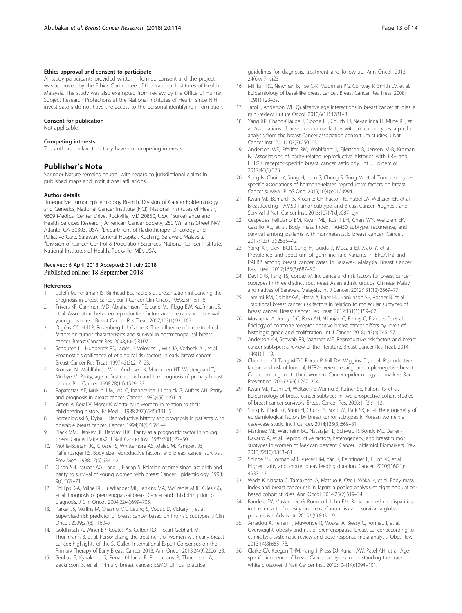## <span id="page-12-0"></span>Ethics approval and consent to participate

All study participants provided written informed consent and the project was approved by the Ethics Committee of the National Institutes of Health, Malaysia. The study was also exempted from review by the Office of Human Subject Research Protections at the National Institutes of Health since NIH investigators do not have the access to the personal identifying information.

#### Consent for publication

Not applicable.

## Competing interests

The authors declare that they have no competing interests.

## Publisher's Note

Springer Nature remains neutral with regard to jurisdictional claims in published maps and institutional affiliations.

#### Author details

<sup>1</sup>Integrative Tumor Epidemiology Branch, Division of Cancer Epidemiology and Genetics, National Cancer Institute (NCI), National Institutes of Health, 9609 Medical Center Drive, Rockville, MD 20850, USA. <sup>2</sup>Surveillance and Health Services Research, American Cancer Society, 250 Williams Street NW, Atlanta, GA 30303, USA. <sup>3</sup>Department of Radiotherapy, Oncology and Palliative Care, Sarawak General Hospital, Kuching, Sarawak, Malaysia. 4 Division of Cancer Control & Population Sciences, National Cancer Institute, National Institutes of Health, Rockville, MD, USA.

## Received: 6 April 2018 Accepted: 31 July 2018 Published online: 18 September 2018

## References

- 1. Caleffi M, Fentiman IS, Birkhead BG. Factors at presentation influencing the prognosis in breast cancer. Eur J Cancer Clin Oncol. 1989;25(1):51–6.
- 2. Trivers KF, Gammon MD, Abrahamson PE, Lund MJ, Flagg EW, Kaufman JS, et al. Association between reproductive factors and breast cancer survival in younger women. Breast Cancer Res Treat. 2007;103(1):93–102.
- 3. Orgéas CC, Hall P, Rosenberg LU, Czene K. The influence of menstrual risk factors on tumor characteristics and survival in postmenopausal breast cancer. Breast Cancer Res. 2008;10(6):R107.
- 4. Schouten LJ, Hupperets PS, Jager JJ, Volovics L, Wils JA, Verbeek AL, et al. Prognostic significance of etiological risk factors in early breast cancer. Breast Cancer Res Treat. 1997;43(3):217–23.
- 5. Kroman N, Wohlfahrt J, West Andersen K, Mouridsen HT, Westergaard T, Melbye M. Parity, age at first childbirth and the prognosis of primary breast cancer. Br J Cancer. 1998;78(11):1529–33.
- 6. Papatestas AE, Mulvihill M, Josi C, Ioannovich J, Lesnick G, Aufses AH. Parity and prognosis in breast cancer. Cancer. 1980;45(1):191–4.
- 7. Green A, Beral V, Moser K. Mortality in women in relation to their childbearing history. Br Med J. 1988;297(6645):391–5.
- 8. Korzeniowski S, Dyba T. Reproductive history and prognosis in patients with operable breast cancer. Cancer. 1994;74(5):1591–4.
- 9. Black MM, Hankey BF, Barclay THC. Parity as a prognostic factor in young breast Cancer Patients2. J Natl Cancer Inst. 1983;70(1):27–30.
- 10. Mohle-Boetani JC, Grosser S, Whittemore AS, Malec M, Kampert JB, Paffenbarger RS. Body size, reproductive factors, and breast cancer survival. Prev Med. 1988;17(5):634–42.
- 11. Olson SH, Zauber AG, Tang J, Harlap S. Relation of time since last birth and parity to survival of young women with breast Cancer. Epidemiology. 1998; 9(6):669–71.
- 12. Phillips K-A, Milne RL, Friedlander ML, Jenkins MA, McCredie MRE, Giles GG, et al. Prognosis of premenopausal breast Cancer and childbirth prior to diagnosis. J Clin Oncol. 2004;22(4):699–705.
- 13. Parker JS, Mullins M, Cheang MC, Leung S, Voduc D, Vickery T, et al. Supervised risk predictor of breast cancer based on intrinsic subtypes. J Clin Oncol. 2009;27(8):1160–7.
- 14. Goldhirsch A, Winer EP, Coates AS, Gelber RD, Piccart-Gebhart M, Thürlimann B, et al. Personalizing the treatment of women with early breast cancer: highlights of the St Gallen International Expert Consensus on the Primary Therapy of Early Breast Cancer 2013. Ann Oncol. 2013;24(9):2206–23.
- 15. Senkus E, Kyriakides S, Penault-Llorca F, Poortmans P, Thompson A, Zackrisson S, et al. Primary breast cancer: ESMO clinical practice

guidelines for diagnosis, treatment and follow-up. Ann Oncol. 2013; 24(6):vi7–vi23.

- 16. Millikan RC, Newman B, Tse C-K, Moorman PG, Conway K, Smith LV, et al. Epidemiology of basal-like breast cancer. Breast Cancer Res Treat. 2008; 109(1):123–39.
- 17. Jatoi I, Anderson WF. Qualitative age interactions in breast cancer studies: a mini-review. Future Oncol. 2010;6(11):1781–8.
- 18. Yang XR, Chang-Claude J, Goode EL, Couch FJ, Nevanlinna H, Milne RL, et al. Associations of breast cancer risk factors with tumor subtypes: a pooled analysis from the breast Cancer association consortium studies. J Natl Cancer Inst. 2011;103(3):250–63.
- 19. Anderson WF, Pfeiffer RM, Wohlfahrt J, Ejlertsen B, Jensen M-B, Kroman N. Associations of parity-related reproductive histories with ER± and HER2± receptor-specific breast cancer aetiology. Int J Epidemiol. 2017;46(1):373.
- 20. Song N, Choi J-Y, Sung H, Jeon S, Chung S, Song M, et al. Tumor subtypespecific associations of hormone-related reproductive factors on breast Cancer survival. PLoS One. 2015;10(4):e0123994.
- 21. Kwan ML, Bernard PS, Kroenke CH, Factor RE, Habel LA, Weltzien EK, et al. Breastfeeding, PAM50 Tumor Subtype, and Breast Cancer Prognosis and Survival. J Natl Cancer Inst. 2015;107(7):djv087–djv.
- 22. Cespedes Feliciano EM, Kwan ML, Kushi LH, Chen WY, Weltzien EK, Castillo AL, et al. Body mass index, PAM50 subtype, recurrence, and survival among patients with nonmetastatic breast cancer. Cancer. 2017;123(13):2535–42.
- 23. Yang XR, Devi BCR, Sung H, Guida J, Mucaki EJ, Xiao Y, et al. Prevalence and spectrum of germline rare variants in BRCA1/2 and PALB2 among breast cancer cases in Sarawak, Malaysia. Breast Cancer Res Treat. 2017;165(3):687–97.
- 24. Devi CRB, Tang TS, Corbex M. Incidence and risk factors for breast cancer subtypes in three distinct south-east Asian ethnic groups: Chinese, Malay and natives of Sarawak, Malaysia. Int J Cancer. 2012;131(12):2869–77.
- 25. Tamimi RM, Colditz GA, Hazra A, Baer HJ, Hankinson SE, Rosner B, et al. Traditional breast cancer risk factors in relation to molecular subtypes of breast cancer. Breast Cancer Res Treat. 2012;131(1):159–67.
- 26. Mustapha A, Jenny C-C, Raza AH, Nilanjan C, Penny C, Frances D, et al. Etiology of hormone receptor positive breast cancer differs by levels of histologic grade and proliferation. Int J Cancer. 2018;143(4):746–57.
- 27. Anderson KN, Schwab RB, Martinez ME. Reproductive risk factors and breast cancer subtypes: a review of the literature. Breast Cancer Res Treat. 2014; 144(1):1–10.
- 28. Chen L, Li CI, Tang M-TC, Porter P, Hill DA, Wiggins CL, et al. Reproductive factors and risk of luminal, HER2-overexpressing, and triple-negative breast Cancer among multiethnic women. Cancer epidemiology biomarkers &amp. Prevention. 2016;25(9):1297–304.
- 29. Kwan ML, Kushi LH, Weltzien E, Maring B, Kutner SE, Fulton RS, et al. Epidemiology of breast cancer subtypes in two prospective cohort studies of breast cancer survivors. Breast Cancer Res. 2009;11(3):1–13.
- 30. Song N, Choi J-Y, Sung H, Chung S, Song M, Park SK, et al. Heterogeneity of epidemiological factors by breast tumor subtypes in Korean women: a case–case study. Int J Cancer. 2014;135(3):669–81.
- 31. Martinez ME, Wertheim BC, Natarajan L, Schwab R, Bondy ML, Daneri-Navarro A, et al. Reproductive factors, heterogeneity, and breast tumor subtypes in women of Mexican descent. Cancer Epidemiol Biomarkers Prev. 2013;22(10):1853–61.
- 32. Shinde SS, Forman MR, Kuerer HM, Yan K, Peintinger F, Hunt KK, et al. Higher parity and shorter breastfeeding duration. Cancer. 2010;116(21): 4933–43.
- 33. Wada K, Nagata C, Tamakoshi A, Matsuo K, Oze I, Wakai K, et al. Body mass index and breast cancer risk in Japan: a pooled analysis of eight populationbased cohort studies. Ann Oncol. 2014;25(2):519–24.
- 34. Bandera EV, Maskarinec G, Romieu I, John EM. Racial and ethnic disparities in the impact of obesity on breast Cancer risk and survival: a global perspective. Adv Nutr. 2015;6(6):803–19.
- 35. Amadou A, Ferrari P, Muwonge R, Moskal A, Biessy C, Romieu I, et al. Overweight, obesity and risk of premenopausal breast cancer according to ethnicity: a systematic review and dose-response meta-analysis. Obes Rev. 2013;14(8):665–78.
- 36. Clarke CA, Keegan THM, Yang J, Press DJ, Kurian AW, Patel AH, et al. Agespecific incidence of breast Cancer subtypes: understanding the black– white crossover. J Natl Cancer Inst. 2012;104(14):1094–101.